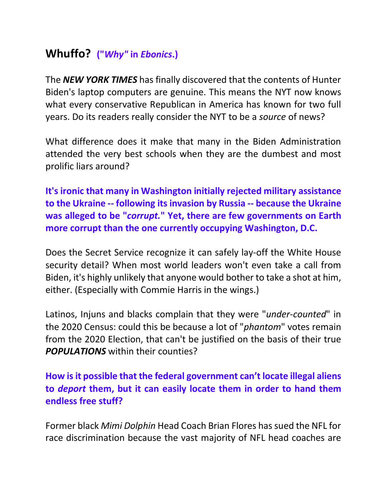## **Whuffo? ("***Why"* **in** *Ebonics***.)**

The *NEW YORK TIMES* has finally discovered that the contents of Hunter Biden's laptop computers are genuine. This means the NYT now knows what every conservative Republican in America has known for two full years. Do its readers really consider the NYT to be a *source* of news?

What difference does it make that many in the Biden Administration attended the very best schools when they are the dumbest and most prolific liars around?

**It's ironic that many in Washington initially rejected military assistance to the Ukraine -- following its invasion by Russia -- because the Ukraine was alleged to be "***corrupt.***" Yet, there are few governments on Earth more corrupt than the one currently occupying Washington, D.C.**

Does the Secret Service recognize it can safely lay-off the White House security detail? When most world leaders won't even take a call from Biden, it's highly unlikely that anyone would bother to take a shot at him, either. (Especially with Commie Harris in the wings.)

Latinos, Injuns and blacks complain that they were "*under-counted*" in the 2020 Census: could this be because a lot of "*phantom*" votes remain from the 2020 Election, that can't be justified on the basis of their true *POPULATIONS* within their counties?

## **How is it possible that the federal government can't locate illegal aliens to** *deport* **them, but it can easily locate them in order to hand them endless free stuff?**

Former black *Mimi Dolphin* Head Coach Brian Flores has sued the NFL for race discrimination because the vast majority of NFL head coaches are